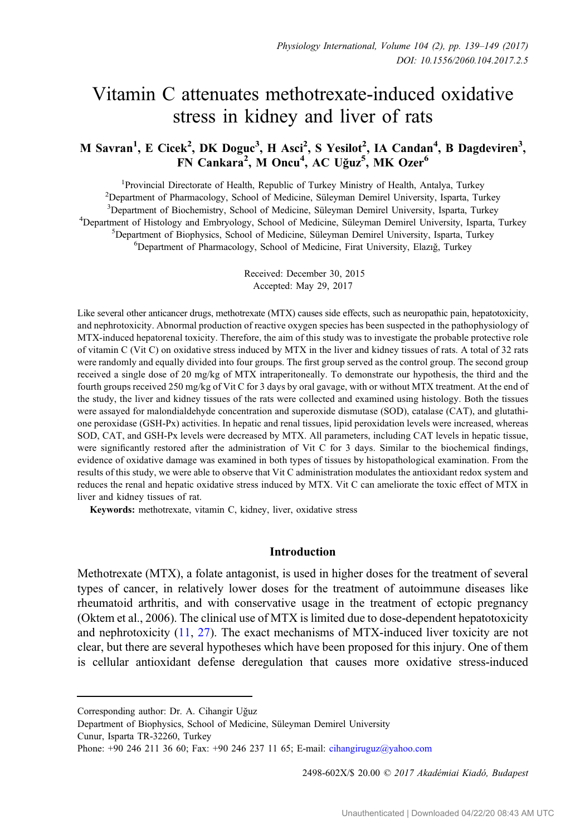# Vitamin C attenuates methotrexate-induced oxidative stress in kidney and liver of rats

# M Savran<sup>1</sup>, E Cicek<sup>2</sup>, DK Doguc<sup>3</sup>, H Asci<sup>2</sup>, S Yesilot<sup>2</sup>, IA Candan<sup>4</sup>, B Dagdeviren<sup>3</sup>, FN Cankara<sup>2</sup>, M Oncu<sup>4</sup>, AC Uğuz<sup>5</sup>, MK Ozer<sup>6</sup>

<sup>1</sup>Provincial Directorate of Health, Republic of Turkey Ministry of Health, Antalya, Turkey <sup>2</sup> Provincial Directorate of Health, Republic of Turkey Ministry of Health, Antalya, Turkey<br><sup>2</sup> Department of Pharmacology, School of Medicine, Süleyman Demirel University, Isparta, Turkey <sup>3</sup>Department of Biochemistry, School of Medicine, Süleyman Demirel University, Isparta, Turkey <sup>2</sup>Department of Biochemistry, School of Medicine, Süleyman Demirel University, Isparta, Turkey<br><sup>4</sup>Department of Histology and Embryology, School of Medicine, Süleyman Demirel University, Isparta Department of Histology and Embryology, School of Medicine, Süleyman Demirel University, Isparta, Turkey<br><sup>5</sup>Department of Biophysics, School of Medicine, Süleyman Demirel University, Isparta, Turkey  ${}^{5}$ Department of Biophysics, School of Medicine, Süleyman Demirel University, Isparta, Turkey Department of Pharmacology, School of Medicine, Firat University, Elazıg, Turkey ˘

> Received: December 30, 2015 Accepted: May 29, 2017

Like several other anticancer drugs, methotrexate (MTX) causes side effects, such as neuropathic pain, hepatotoxicity, and nephrotoxicity. Abnormal production of reactive oxygen species has been suspected in the pathophysiology of MTX-induced hepatorenal toxicity. Therefore, the aim of this study was to investigate the probable protective role of vitamin C (Vit C) on oxidative stress induced by MTX in the liver and kidney tissues of rats. A total of 32 rats were randomly and equally divided into four groups. The first group served as the control group. The second group received a single dose of 20 mg/kg of MTX intraperitoneally. To demonstrate our hypothesis, the third and the fourth groups received 250 mg/kg of Vit C for 3 days by oral gavage, with or without MTX treatment. At the end of the study, the liver and kidney tissues of the rats were collected and examined using histology. Both the tissues were assayed for malondialdehyde concentration and superoxide dismutase (SOD), catalase (CAT), and glutathione peroxidase (GSH-Px) activities. In hepatic and renal tissues, lipid peroxidation levels were increased, whereas SOD, CAT, and GSH-Px levels were decreased by MTX. All parameters, including CAT levels in hepatic tissue, were significantly restored after the administration of Vit C for 3 days. Similar to the biochemical findings, evidence of oxidative damage was examined in both types of tissues by histopathological examination. From the results of this study, we were able to observe that Vit C administration modulates the antioxidant redox system and reduces the renal and hepatic oxidative stress induced by MTX. Vit C can ameliorate the toxic effect of MTX in liver and kidney tissues of rat.

Keywords: methotrexate, vitamin C, kidney, liver, oxidative stress

#### Introduction

Methotrexate (MTX), a folate antagonist, is used in higher doses for the treatment of several types of cancer, in relatively lower doses for the treatment of autoimmune diseases like rheumatoid arthritis, and with conservative usage in the treatment of ectopic pregnancy (Oktem et al., 2006). The clinical use of MTX is limited due to dose-dependent hepatotoxicity and nephrotoxicity [\(11](#page-9-0), [27\)](#page-10-0). The exact mechanisms of MTX-induced liver toxicity are not clear, but there are several hypotheses which have been proposed for this injury. One of them is cellular antioxidant defense deregulation that causes more oxidative stress-induced

2498-602X/\$ 20.00 © 2017 Akadémiai Kiadó, Budapest

Corresponding author: Dr. A. Cihangir Uğuz

Department of Biophysics, School of Medicine, Süleyman Demirel University

Cunur, Isparta TR-32260, Turkey

Phone: +90 246 211 36 60; Fax: +90 246 237 11 65; E-mail: [cihangiruguz@yahoo.com](mailto:cihangiruguz@yahoo.com)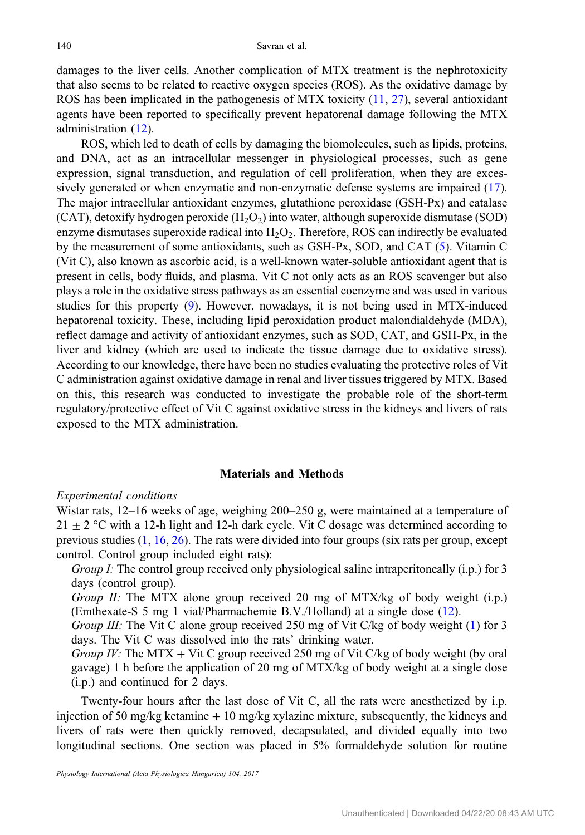damages to the liver cells. Another complication of MTX treatment is the nephrotoxicity that also seems to be related to reactive oxygen species (ROS). As the oxidative damage by ROS has been implicated in the pathogenesis of MTX toxicity [\(11](#page-9-0), [27\)](#page-10-0), several antioxidant agents have been reported to specifically prevent hepatorenal damage following the MTX administration ([12\)](#page-9-0).

ROS, which led to death of cells by damaging the biomolecules, such as lipids, proteins, and DNA, act as an intracellular messenger in physiological processes, such as gene expression, signal transduction, and regulation of cell proliferation, when they are excessively generated or when enzymatic and non-enzymatic defense systems are impaired [\(17](#page-9-0)). The major intracellular antioxidant enzymes, glutathione peroxidase (GSH-Px) and catalase (CAT), detoxify hydrogen peroxide  $(H<sub>2</sub>O<sub>2</sub>)$  into water, although superoxide dismutase (SOD) enzyme dismutases superoxide radical into  $H_2O_2$ . Therefore, ROS can indirectly be evaluated by the measurement of some antioxidants, such as GSH-Px, SOD, and CAT ([5\)](#page-9-0). Vitamin C (Vit C), also known as ascorbic acid, is a well-known water-soluble antioxidant agent that is present in cells, body fluids, and plasma. Vit C not only acts as an ROS scavenger but also plays a role in the oxidative stress pathways as an essential coenzyme and was used in various studies for this property [\(9](#page-9-0)). However, nowadays, it is not being used in MTX-induced hepatorenal toxicity. These, including lipid peroxidation product malondialdehyde (MDA), reflect damage and activity of antioxidant enzymes, such as SOD, CAT, and GSH-Px, in the liver and kidney (which are used to indicate the tissue damage due to oxidative stress). According to our knowledge, there have been no studies evaluating the protective roles of Vit C administration against oxidative damage in renal and liver tissues triggered by MTX. Based on this, this research was conducted to investigate the probable role of the short-term regulatory/protective effect of Vit C against oxidative stress in the kidneys and livers of rats exposed to the MTX administration.

### Materials and Methods

## Experimental conditions

Wistar rats, 12–16 weeks of age, weighing 200–250 g, were maintained at a temperature of  $21 \pm 2$  °C with a 12-h light and 12-h dark cycle. Vit C dosage was determined according to previous studies [\(1](#page-9-0), [16](#page-9-0), [26\)](#page-10-0). The rats were divided into four groups (six rats per group, except control. Control group included eight rats):

Group I: The control group received only physiological saline intraperitoneally (i.p.) for 3 days (control group).

Group II: The MTX alone group received 20 mg of MTX/kg of body weight (i.p.) (Emthexate-S 5 mg 1 vial/Pharmachemie B.V./Holland) at a single dose ([12\)](#page-9-0).

Group III: The Vit C alone group received 250 mg of Vit C/kg of body weight ([1\)](#page-9-0) for 3 days. The Vit C was dissolved into the rats' drinking water.

Group IV: The MTX + Vit C group received 250 mg of Vit C/kg of body weight (by oral gavage) 1 h before the application of 20 mg of MTX/kg of body weight at a single dose (i.p.) and continued for 2 days.

Twenty-four hours after the last dose of Vit C, all the rats were anesthetized by i.p. injection of 50 mg/kg ketamine + 10 mg/kg xylazine mixture, subsequently, the kidneys and livers of rats were then quickly removed, decapsulated, and divided equally into two longitudinal sections. One section was placed in 5% formaldehyde solution for routine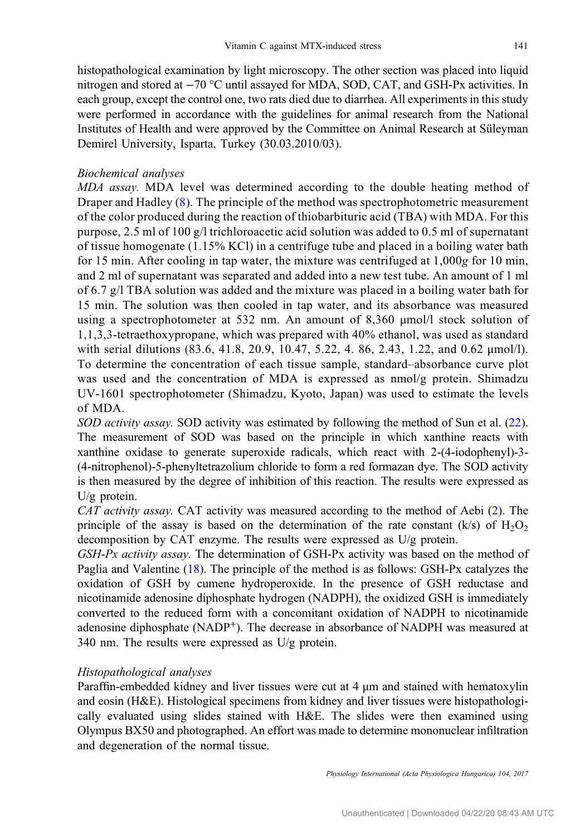histopathological examination by light microscopy. The other section was placed into liquid nitrogen and stored at −70 °C until assayed for MDA, SOD, CAT, and GSH-Px activities. In each group, except the control one, two rats died due to diarrhea. All experiments in this study were performed in accordance with the guidelines for animal research from the National Institutes of Health and were approved by the Committee on Animal Research at Süleyman Demirel University, Isparta, Turkey (30.03.2010/03).

## Biochemical analyses

MDA assay. MDA level was determined according to the double heating method of Draper and Hadley ([8](#page-9-0)). The principle of the method was spectrophotometric measurement of the color produced during the reaction of thiobarbituric acid (TBA) with MDA. For this purpose, 2.5 ml of 100 g/l trichloroacetic acid solution was added to 0.5 ml of supernatant of tissue homogenate (1.15% KCl) in a centrifuge tube and placed in a boiling water bath for 15 min. After cooling in tap water, the mixture was centrifuged at 1,000g for 10 min, and 2 ml of supernatant was separated and added into a new test tube. An amount of 1 ml of 6.7 g/l TBA solution was added and the mixture was placed in a boiling water bath for 15 min. The solution was then cooled in tap water, and its absorbance was measured using a spectrophotometer at 532 nm. An amount of 8,360 μmol/l stock solution of 1,1,3,3-tetraethoxypropane, which was prepared with 40% ethanol, was used as standard with serial dilutions (83.6, 41.8, 20.9, 10.47, 5.22, 4. 86, 2.43, 1.22, and 0.62 μmol/l). To determine the concentration of each tissue sample, standard–absorbance curve plot was used and the concentration of MDA is expressed as  $\text{nmol/g}$  protein. Shimadzu UV-1601 spectrophotometer (Shimadzu, Kyoto, Japan) was used to estimate the levels of MDA.

SOD activity assay. SOD activity was estimated by following the method of Sun et al. [\(22](#page-9-0)). The measurement of SOD was based on the principle in which xanthine reacts with xanthine oxidase to generate superoxide radicals, which react with 2-(4-iodophenyl)-3- (4-nitrophenol)-5-phenyltetrazolium chloride to form a red formazan dye. The SOD activity is then measured by the degree of inhibition of this reaction. The results were expressed as U/g protein.

CAT activity assay. CAT activity was measured according to the method of Aebi [\(2\)](#page-9-0). The principle of the assay is based on the determination of the rate constant (k/s) of  $H_2O_2$ decomposition by CAT enzyme. The results were expressed as U/g protein.

 $GSH-Px$  activity assay. The determination of  $GSH-Px$  activity was based on the method of Paglia and Valentine ([18](#page-9-0)). The principle of the method is as follows: GSH-Px catalyzes the oxidation of GSH by cumene hydroperoxide. In the presence of GSH reductase and nicotinamide adenosine diphosphate hydrogen (NADPH), the oxidized GSH is immediately converted to the reduced form with a concomitant oxidation of NADPH to nicotinamide adenosine diphosphate (NADP<sup>+</sup>). The decrease in absorbance of NADPH was measured at 340 nm. The results were expressed as U/g protein.

### Histopathological analyses

Paraffin-embedded kidney and liver tissues were cut at 4 μm and stained with hematoxylin and eosin (H&E). Histological specimens from kidney and liver tissues were histopathologically evaluated using slides stained with H&E. The slides were then examined using Olympus BX50 and photographed. An effort was made to determine mononuclear infiltration and degeneration of the normal tissue.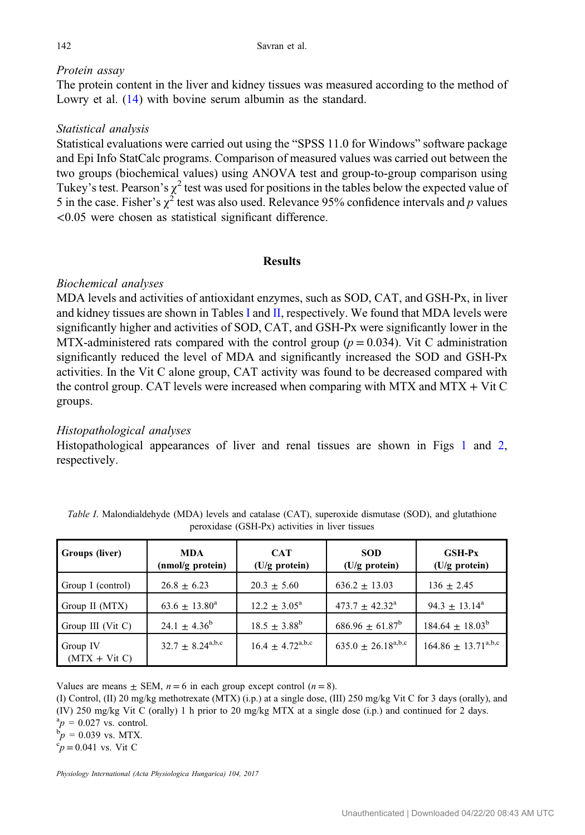# Protein assay

The protein content in the liver and kidney tissues was measured according to the method of Lowry et al.  $(14)$  $(14)$  with bovine serum albumin as the standard.

# Statistical analysis

Statistical evaluations were carried out using the "SPSS 11.0 for Windows" software package and Epi Info StatCalc programs. Comparison of measured values was carried out between the two groups (biochemical values) using ANOVA test and group-to-group comparison using Tukey's test. Pearson's  $\gamma^2$  test was used for positions in the tables below the expected value of 5 in the case. Fisher's  $\chi^2$  test was also used. Relevance 95% confidence intervals and p values <0.05 were chosen as statistical significant difference.

## **Results**

# Biochemical analyses

MDA levels and activities of antioxidant enzymes, such as SOD, CAT, and GSH-Px, in liver and kidney tissues are shown in Tables I and [II,](#page-4-0) respectively. We found that MDA levels were significantly higher and activities of SOD, CAT, and GSH-Px were significantly lower in the MTX-administered rats compared with the control group ( $p = 0.034$ ). Vit C administration significantly reduced the level of MDA and significantly increased the SOD and GSH-Px activities. In the Vit C alone group, CAT activity was found to be decreased compared with the control group. CAT levels were increased when comparing with MTX and MTX + Vit C groups.

# Histopathological analyses

Histopathological appearances of liver and renal tissues are shown in Figs [1](#page-5-0) and [2](#page-6-0), respectively.

| Groups (liver)              | <b>MDA</b><br>(nmol/g protein)               | <b>CAT</b><br>$(U/g$ protein)                | <b>SOD</b><br>$(U/g$ protein) | <b>GSH-Px</b><br>(U/g protein)    |
|-----------------------------|----------------------------------------------|----------------------------------------------|-------------------------------|-----------------------------------|
| Group I (control)           | $26.8 \pm 6.23$                              | $20.3 \pm 5.60$                              | $636.2 \pm 13.03$             | $136 + 2.45$                      |
| Group II (MTX)              | $63.6 \pm 13.80^a$                           | $12.2 + 3.05^{\circ}$                        | $473.7 \pm 42.32^{\circ}$     | $94.3 \pm 13.14^a$                |
| Group III (Vit C)           | $24.1 \pm 4.36^b$                            | $18.5 \pm 3.88^{\rm b}$                      | $686.96 \pm 61.87^b$          | $184.64 \pm 18.03^{\rm b}$        |
| Group IV<br>$(MTX + Vit C)$ | $32.7 \pm 8.24^{\text{a},\text{b},\text{c}}$ | $16.4 \pm 4.72^{\text{a},\text{b},\text{c}}$ | $635.0 \pm 26.18^{a,b,c}$     | $164.86 \pm 13.71^{\text{a,b,c}}$ |

Table I. Malondialdehyde (MDA) levels and catalase (CAT), superoxide dismutase (SOD), and glutathione peroxidase (GSH-Px) activities in liver tissues

Values are means  $\pm$  SEM,  $n = 6$  in each group except control  $(n = 8)$ .

(I) Control, (II) 20 mg/kg methotrexate (MTX) (i.p.) at a single dose, (III) 250 mg/kg Vit C for 3 days (orally), and (IV) 250 mg/kg Vit C (orally) 1 h prior to 20 mg/kg MTX at a single dose (i.p.) and continued for 2 days.

 $a_p = 0.027$  vs. control.  ${}^{a}_{p}p = 0.027$  vs. control.<br> ${}^{b}_{p}p = 0.039$  vs. MTY

 $p^{\circ}$  = 0.039 vs. MTX.

 $\rm^{\circ}$ p = 0.041 vs. Vit C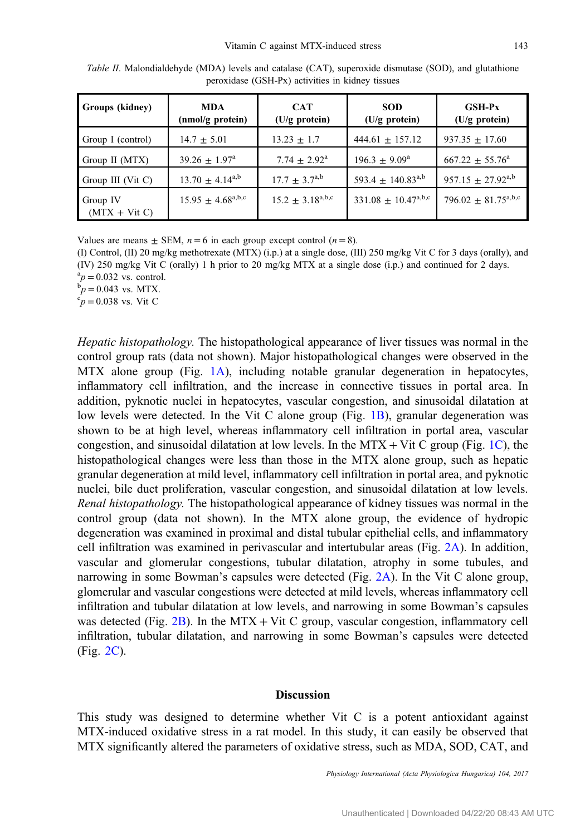| Groups (kidney)             | <b>MDA</b><br>(nmol/g protein)                | <b>CAT</b><br>$(U/g$ protein) | <b>SOD</b><br>(U/g protein)       | $GSH-Px$<br>$(U/g$ protein)         |
|-----------------------------|-----------------------------------------------|-------------------------------|-----------------------------------|-------------------------------------|
| Group I (control)           | $14.7 \pm 5.01$                               | $13.23 \pm 1.7$               | $444.61 \pm 157.12$               | $937.35 \pm 17.60$                  |
| Group II (MTX)              | $39.26 \pm 1.97^{\circ}$                      | $7.74 + 2.92^{\text{a}}$      | $196.3 \pm 9.09^{\text{a}}$       | $667.22 + 55.76^a$                  |
| Group III (Vit C)           | $13.70 \pm 4.14^{a,b}$                        | $17.7 \pm 3.7^{a,b}$          | $593.4 + 140.83^{a,b}$            | $957.15 \pm 27.92^{a,b}$            |
| Group IV<br>$(MTX + Vit C)$ | $15.95 \pm 4.68^{\text{a},\text{b},\text{c}}$ | $15.2 \pm 3.18^{a,b,c}$       | $331.08 \pm 10.47^{\text{a,b,c}}$ | 796.02 $\pm$ 81.75 <sup>a,b,c</sup> |

<span id="page-4-0"></span>Table II. Malondialdehyde (MDA) levels and catalase (CAT), superoxide dismutase (SOD), and glutathione peroxidase (GSH-Px) activities in kidney tissues

Values are means  $\pm$  SEM,  $n = 6$  in each group except control  $(n = 8)$ .

(I) Control, (II) 20 mg/kg methotrexate (MTX) (i.p.) at a single dose, (III) 250 mg/kg Vit C for 3 days (orally), and (IV) 250 mg/kg Vit C (orally) 1 h prior to 20 mg/kg MTX at a single dose (i.p.) and continued for 2 days.  ${}^{a}p = 0.032$  vs. control.<br> ${}^{b}p = 0.043$  vs. MTY

 $b_p = 0.043$  vs. MTX.

 ${}^c p = 0.038$  vs. Vit C

Hepatic histopathology. The histopathological appearance of liver tissues was normal in the control group rats (data not shown). Major histopathological changes were observed in the MTX alone group (Fig. [1A](#page-5-0)), including notable granular degeneration in hepatocytes, inflammatory cell infiltration, and the increase in connective tissues in portal area. In addition, pyknotic nuclei in hepatocytes, vascular congestion, and sinusoidal dilatation at low levels were detected. In the Vit C alone group (Fig. [1B](#page-5-0)), granular degeneration was shown to be at high level, whereas inflammatory cell infiltration in portal area, vascular congestion, and sinusoidal dilatation at low levels. In the MTX + Vit C group (Fig. [1C](#page-5-0)), the histopathological changes were less than those in the MTX alone group, such as hepatic granular degeneration at mild level, inflammatory cell infiltration in portal area, and pyknotic nuclei, bile duct proliferation, vascular congestion, and sinusoidal dilatation at low levels. Renal histopathology. The histopathological appearance of kidney tissues was normal in the control group (data not shown). In the MTX alone group, the evidence of hydropic degeneration was examined in proximal and distal tubular epithelial cells, and inflammatory cell infiltration was examined in perivascular and intertubular areas (Fig. [2A](#page-6-0)). In addition, vascular and glomerular congestions, tubular dilatation, atrophy in some tubules, and narrowing in some Bowman's capsules were detected (Fig. [2A](#page-6-0)). In the Vit C alone group, glomerular and vascular congestions were detected at mild levels, whereas inflammatory cell infiltration and tubular dilatation at low levels, and narrowing in some Bowman's capsules was detected (Fig. [2B\)](#page-6-0). In the MTX + Vit C group, vascular congestion, inflammatory cell infiltration, tubular dilatation, and narrowing in some Bowman's capsules were detected (Fig. [2C](#page-6-0)).

## Discussion

This study was designed to determine whether Vit  $C$  is a potent antioxidant against MTX-induced oxidative stress in a rat model. In this study, it can easily be observed that MTX significantly altered the parameters of oxidative stress, such as MDA, SOD, CAT, and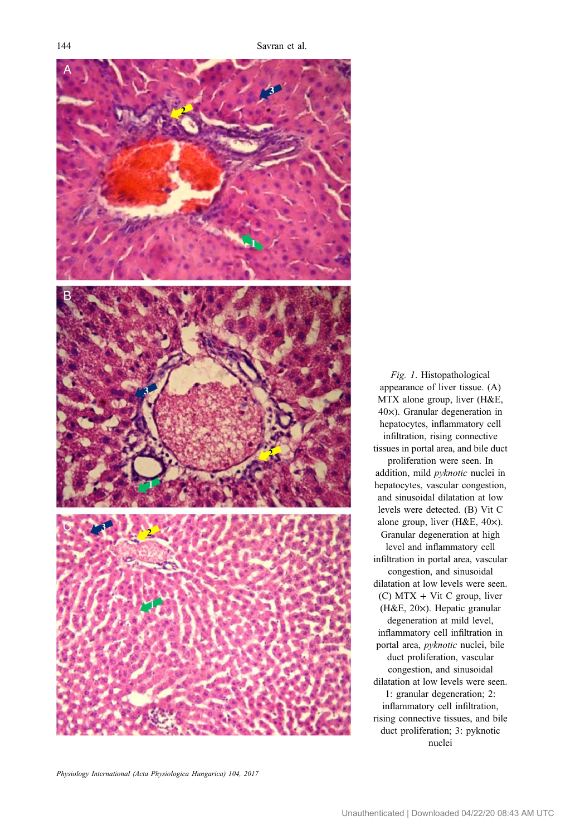<span id="page-5-0"></span>

appearance of liver tissue. (A) MTX alone group, liver (H&E, 40×). Granular degeneration in hepatocytes, inflammatory cell infiltration, rising connective tissues in portal area, and bile duct proliferation were seen. In addition, mild pyknotic nuclei in hepatocytes, vascular congestion, and sinusoidal dilatation at low levels were detected. (B) Vit C alone group, liver (H&E, 40×). Granular degeneration at high level and inflammatory cell infiltration in portal area, vascular congestion, and sinusoidal dilatation at low levels were seen. (C) MTX + Vit C group, liver (H&E, 20×). Hepatic granular degeneration at mild level, inflammatory cell infiltration in portal area, pyknotic nuclei, bile duct proliferation, vascular congestion, and sinusoidal dilatation at low levels were seen. 1: granular degeneration; 2: inflammatory cell infiltration, rising connective tissues, and bile duct proliferation; 3: pyknotic nuclei

Fig. 1. Histopathological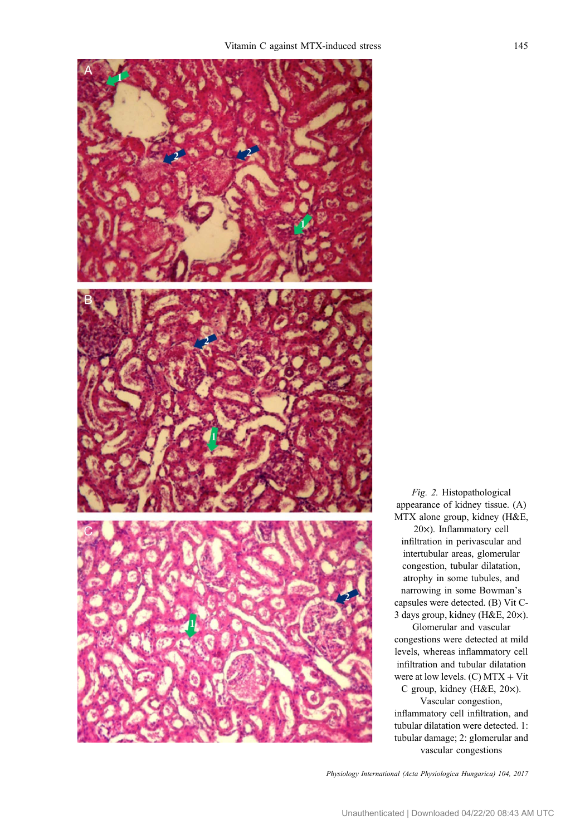<span id="page-6-0"></span>

Fig. 2. Histopathological appearance of kidney tissue. (A) MTX alone group, kidney (H&E, 20×). Inflammatory cell

infiltration in perivascular and intertubular areas, glomerular congestion, tubular dilatation, atrophy in some tubules, and narrowing in some Bowman's capsules were detected. (B) Vit C-3 days group, kidney (H&E, 20×).

Glomerular and vascular congestions were detected at mild levels, whereas inflammatory cell infiltration and tubular dilatation were at low levels.  $(C)$  MTX + Vit

C group, kidney (H&E, 20×).

Vascular congestion, inflammatory cell infiltration, and tubular dilatation were detected. 1: tubular damage; 2: glomerular and vascular congestions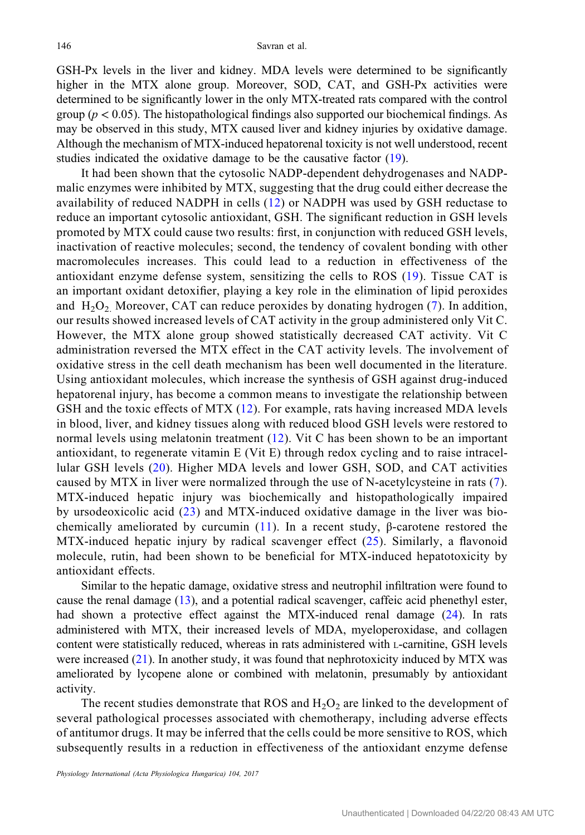GSH-Px levels in the liver and kidney. MDA levels were determined to be significantly higher in the MTX alone group. Moreover, SOD, CAT, and GSH-Px activities were determined to be significantly lower in the only MTX-treated rats compared with the control group ( $p < 0.05$ ). The histopathological findings also supported our biochemical findings. As may be observed in this study, MTX caused liver and kidney injuries by oxidative damage. Although the mechanism of MTX-induced hepatorenal toxicity is not well understood, recent studies indicated the oxidative damage to be the causative factor ([19\)](#page-9-0).

It had been shown that the cytosolic NADP-dependent dehydrogenases and NADPmalic enzymes were inhibited by MTX, suggesting that the drug could either decrease the availability of reduced NADPH in cells ([12\)](#page-9-0) or NADPH was used by GSH reductase to reduce an important cytosolic antioxidant, GSH. The significant reduction in GSH levels promoted by MTX could cause two results: first, in conjunction with reduced GSH levels, inactivation of reactive molecules; second, the tendency of covalent bonding with other macromolecules increases. This could lead to a reduction in effectiveness of the antioxidant enzyme defense system, sensitizing the cells to ROS ([19\)](#page-9-0). Tissue CAT is an important oxidant detoxifier, playing a key role in the elimination of lipid peroxides and  $H_2O_2$  Moreover, CAT can reduce peroxides by donating hydrogen ([7](#page-9-0)). In addition, our results showed increased levels of CAT activity in the group administered only Vit C. However, the MTX alone group showed statistically decreased CAT activity. Vit C administration reversed the MTX effect in the CAT activity levels. The involvement of oxidative stress in the cell death mechanism has been well documented in the literature. Using antioxidant molecules, which increase the synthesis of GSH against drug-induced hepatorenal injury, has become a common means to investigate the relationship between GSH and the toxic effects of MTX ([12](#page-9-0)). For example, rats having increased MDA levels in blood, liver, and kidney tissues along with reduced blood GSH levels were restored to normal levels using melatonin treatment ([12](#page-9-0)). Vit C has been shown to be an important antioxidant, to regenerate vitamin E (Vit E) through redox cycling and to raise intracellular GSH levels [\(20\)](#page-9-0). Higher MDA levels and lower GSH, SOD, and CAT activities caused by MTX in liver were normalized through the use of N-acetylcysteine in rats ([7](#page-9-0)). MTX-induced hepatic injury was biochemically and histopathologically impaired by ursodeoxicolic acid ([23\)](#page-9-0) and MTX-induced oxidative damage in the liver was bio-chemically ameliorated by curcumin [\(11\)](#page-9-0). In a recent study,  $\beta$ -carotene restored the MTX-induced hepatic injury by radical scavenger effect [\(25\)](#page-9-0). Similarly, a flavonoid molecule, rutin, had been shown to be beneficial for MTX-induced hepatotoxicity by antioxidant effects.

Similar to the hepatic damage, oxidative stress and neutrophil infiltration were found to cause the renal damage [\(13\)](#page-9-0), and a potential radical scavenger, caffeic acid phenethyl ester, had shown a protective effect against the MTX-induced renal damage ([24\)](#page-9-0). In rats administered with MTX, their increased levels of MDA, myeloperoxidase, and collagen content were statistically reduced, whereas in rats administered with L-carnitine, GSH levels were increased ([21\)](#page-9-0). In another study, it was found that nephrotoxicity induced by MTX was ameliorated by lycopene alone or combined with melatonin, presumably by antioxidant activity.

The recent studies demonstrate that ROS and  $H_2O_2$  are linked to the development of several pathological processes associated with chemotherapy, including adverse effects of antitumor drugs. It may be inferred that the cells could be more sensitive to ROS, which subsequently results in a reduction in effectiveness of the antioxidant enzyme defense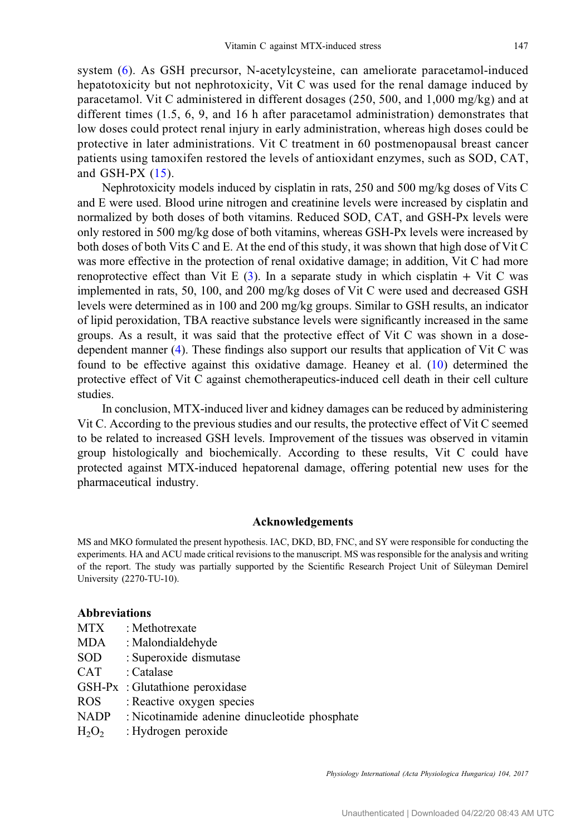system [\(6](#page-9-0)). As GSH precursor, N-acetylcysteine, can ameliorate paracetamol-induced hepatotoxicity but not nephrotoxicity, Vit C was used for the renal damage induced by paracetamol. Vit C administered in different dosages (250, 500, and 1,000 mg/kg) and at different times (1.5, 6, 9, and 16 h after paracetamol administration) demonstrates that low doses could protect renal injury in early administration, whereas high doses could be protective in later administrations. Vit C treatment in 60 postmenopausal breast cancer patients using tamoxifen restored the levels of antioxidant enzymes, such as SOD, CAT, and GSH-PX  $(15)$ .

Nephrotoxicity models induced by cisplatin in rats, 250 and 500 mg/kg doses of Vits C and E were used. Blood urine nitrogen and creatinine levels were increased by cisplatin and normalized by both doses of both vitamins. Reduced SOD, CAT, and GSH-Px levels were only restored in 500 mg/kg dose of both vitamins, whereas GSH-Px levels were increased by both doses of both Vits C and E. At the end of this study, it was shown that high dose of Vit C was more effective in the protection of renal oxidative damage; in addition, Vit C had more renoprotective effect than Vit E  $(3)$  $(3)$ . In a separate study in which cisplatin + Vit C was implemented in rats, 50, 100, and 200 mg/kg doses of Vit C were used and decreased GSH levels were determined as in 100 and 200 mg/kg groups. Similar to GSH results, an indicator of lipid peroxidation, TBA reactive substance levels were significantly increased in the same groups. As a result, it was said that the protective effect of Vit C was shown in a dosedependent manner ([4\)](#page-9-0). These findings also support our results that application of Vit C was found to be effective against this oxidative damage. Heaney et al. ([10](#page-9-0)) determined the protective effect of Vit C against chemotherapeutics-induced cell death in their cell culture studies.

In conclusion, MTX-induced liver and kidney damages can be reduced by administering Vit C. According to the previous studies and our results, the protective effect of Vit C seemed to be related to increased GSH levels. Improvement of the tissues was observed in vitamin group histologically and biochemically. According to these results, Vit C could have protected against MTX-induced hepatorenal damage, offering potential new uses for the pharmaceutical industry.

#### Acknowledgements

MS and MKO formulated the present hypothesis. IAC, DKD, BD, FNC, and SY were responsible for conducting the experiments. HA and ACU made critical revisions to the manuscript. MS was responsible for the analysis and writing of the report. The study was partially supported by the Scientific Research Project Unit of Süleyman Demirel University (2270-TU-10).

## Abbreviations

| MTX      | : Methotrexate                                |
|----------|-----------------------------------------------|
| MDA      | : Malondialdehyde                             |
| SOD      | : Superoxide dismutase                        |
| CAT      | : Catalase                                    |
|          | GSH-Px: Glutathione peroxidase                |
| ROS      | : Reactive oxygen species                     |
| NADP     | : Nicotinamide adenine dinucleotide phosphate |
| $H_2O_2$ | : Hydrogen peroxide                           |
|          |                                               |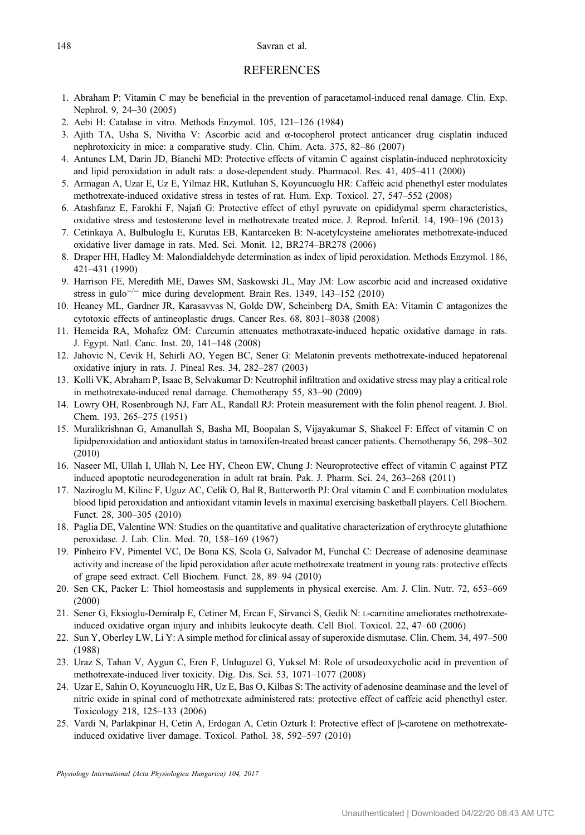#### <span id="page-9-0"></span>148 Savran et al.

#### **REFERENCES**

- 1. Abraham P: Vitamin C may be beneficial in the prevention of paracetamol-induced renal damage. Clin. Exp. Nephrol. 9, 24–30 (2005)
- 2. Aebi H: Catalase in vitro. Methods Enzymol. 105, 121–126 (1984)
- 3. Ajith TA, Usha S, Nivitha V: Ascorbic acid and α-tocopherol protect anticancer drug cisplatin induced nephrotoxicity in mice: a comparative study. Clin. Chim. Acta. 375, 82–86 (2007)
- 4. Antunes LM, Darin JD, Bianchi MD: Protective effects of vitamin C against cisplatin-induced nephrotoxicity and lipid peroxidation in adult rats: a dose-dependent study. Pharmacol. Res. 41, 405–411 (2000)
- 5. Armagan A, Uzar E, Uz E, Yilmaz HR, Kutluhan S, Koyuncuoglu HR: Caffeic acid phenethyl ester modulates methotrexate-induced oxidative stress in testes of rat. Hum. Exp. Toxicol. 27, 547–552 (2008)
- 6. Atashfaraz E, Farokhi F, Najafi G: Protective effect of ethyl pyruvate on epididymal sperm characteristics, oxidative stress and testosterone level in methotrexate treated mice. J. Reprod. Infertil. 14, 190–196 (2013)
- 7. Cetinkaya A, Bulbuloglu E, Kurutas EB, Kantarceken B: N-acetylcysteine ameliorates methotrexate-induced oxidative liver damage in rats. Med. Sci. Monit. 12, BR274–BR278 (2006)
- 8. Draper HH, Hadley M: Malondialdehyde determination as index of lipid peroxidation. Methods Enzymol. 186, 421–431 (1990)
- 9. Harrison FE, Meredith ME, Dawes SM, Saskowski JL, May JM: Low ascorbic acid and increased oxidative stress in gulo<sup>- $/−$ </sup> mice during development. Brain Res. 1349, 143–152 (2010)
- 10. Heaney ML, Gardner JR, Karasavvas N, Golde DW, Scheinberg DA, Smith EA: Vitamin C antagonizes the cytotoxic effects of antineoplastic drugs. Cancer Res. 68, 8031–8038 (2008)
- 11. Hemeida RA, Mohafez OM: Curcumin attenuates methotraxate-induced hepatic oxidative damage in rats. J. Egypt. Natl. Canc. Inst. 20, 141–148 (2008)
- 12. Jahovic N, Cevik H, Sehirli AO, Yegen BC, Sener G: Melatonin prevents methotrexate-induced hepatorenal oxidative injury in rats. J. Pineal Res. 34, 282–287 (2003)
- 13. Kolli VK, Abraham P, Isaac B, Selvakumar D: Neutrophil infiltration and oxidative stress may play a critical role in methotrexate-induced renal damage. Chemotherapy 55, 83–90 (2009)
- 14. Lowry OH, Rosenbrough NJ, Farr AL, Randall RJ: Protein measurement with the folin phenol reagent. J. Biol. Chem. 193, 265–275 (1951)
- 15. Muralikrishnan G, Amanullah S, Basha MI, Boopalan S, Vijayakumar S, Shakeel F: Effect of vitamin C on lipidperoxidation and antioxidant status in tamoxifen-treated breast cancer patients. Chemotherapy 56, 298–302 (2010)
- 16. Naseer MI, Ullah I, Ullah N, Lee HY, Cheon EW, Chung J: Neuroprotective effect of vitamin C against PTZ induced apoptotic neurodegeneration in adult rat brain. Pak. J. Pharm. Sci. 24, 263–268 (2011)
- 17. Naziroglu M, Kilinc F, Uguz AC, Celik O, Bal R, Butterworth PJ: Oral vitamin C and E combination modulates blood lipid peroxidation and antioxidant vitamin levels in maximal exercising basketball players. Cell Biochem. Funct. 28, 300–305 (2010)
- 18. Paglia DE, Valentine WN: Studies on the quantitative and qualitative characterization of erythrocyte glutathione peroxidase. J. Lab. Clin. Med. 70, 158–169 (1967)
- 19. Pinheiro FV, Pimentel VC, De Bona KS, Scola G, Salvador M, Funchal C: Decrease of adenosine deaminase activity and increase of the lipid peroxidation after acute methotrexate treatment in young rats: protective effects of grape seed extract. Cell Biochem. Funct. 28, 89–94 (2010)
- 20. Sen CK, Packer L: Thiol homeostasis and supplements in physical exercise. Am. J. Clin. Nutr. 72, 653–669 (2000)
- 21. Sener G, Eksioglu-Demiralp E, Cetiner M, Ercan F, Sirvanci S, Gedik N: L-carnitine ameliorates methotrexateinduced oxidative organ injury and inhibits leukocyte death. Cell Biol. Toxicol. 22, 47–60 (2006)
- 22. Sun Y, Oberley LW, Li Y: A simple method for clinical assay of superoxide dismutase. Clin. Chem. 34, 497–500 (1988)
- 23. Uraz S, Tahan V, Aygun C, Eren F, Unluguzel G, Yuksel M: Role of ursodeoxycholic acid in prevention of methotrexate-induced liver toxicity. Dig. Dis. Sci. 53, 1071–1077 (2008)
- 24. Uzar E, Sahin O, Koyuncuoglu HR, Uz E, Bas O, Kilbas S: The activity of adenosine deaminase and the level of nitric oxide in spinal cord of methotrexate administered rats: protective effect of caffeic acid phenethyl ester. Toxicology 218, 125–133 (2006)
- 25. Vardi N, Parlakpinar H, Cetin A, Erdogan A, Cetin Ozturk I: Protective effect of β-carotene on methotrexateinduced oxidative liver damage. Toxicol. Pathol. 38, 592–597 (2010)